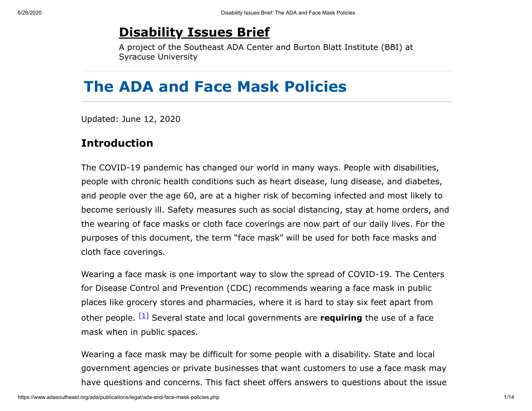## **[Disability Issues Brief](https://www.adasoutheast.org/legal/disability-issues.php)**

A project of the Southeast ADA Center and Burton Blatt Institute (BBI) at Syracuse University

# **The ADA and Face Mask Policies**

Updated: June 12, 2020

#### **Introduction**

The COVID-19 pandemic has changed our world in many ways. People with disabilities, people with chronic health conditions such as heart disease, lung disease, and diabetes, and people over the age 60, are at a higher risk of becoming infected and most likely to become seriously ill. Safety measures such as social distancing, stay at home orders, and the wearing of face masks or cloth face coverings are now part of our daily lives. For the purposes of this document, the term "face mask" will be used for both face masks and cloth face coverings.

Wearing a face mask is one important way to slow the spread of COVID-19. The Centers for Disease Control and Prevention (CDC) recommends wearing a face mask in public places like grocery stores and pharmacies, where it is hard to stay six feet apart from other people. <sup>[\[1\]](#page-8-0)</sup> Several state and local governments are **requiring** the use of a face mask when in public spaces.

<span id="page-0-0"></span>Wearing a face mask may be difficult for some people with a disability. State and local government agencies or private businesses that want customers to use a face mask may have questions and concerns. This fact sheet offers answers to questions about the issue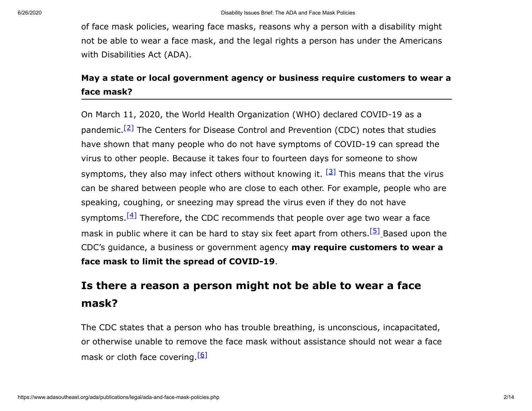of face mask policies, wearing face masks, reasons why a person with a disability might not be able to wear a face mask, and the legal rights a person has under the Americans with Disabilities Act (ADA).

#### **May a state or local government agency or business require customers to wear a face mask?**

<span id="page-1-1"></span><span id="page-1-0"></span>On March 11, 2020, the World Health Organization (WHO) declared COVID-19 as a pandemic.<sup>[\[2\]](#page-9-0)</sup> The Centers for Disease Control and Prevention (CDC) notes that studies have shown that many people who do not have symptoms of COVID-19 can spread the virus to other people. Because it takes four to fourteen days for someone to show symptoms, they also may infect others without knowing it. <sup>[\[3\]](#page-9-1)</sup> This means that the virus can be shared between people who are close to each other. For example, people who are speaking, coughing, or sneezing may spread the virus even if they do not have symptoms.  $[4]$  Therefore, the CDC recommends that people over age two wear a face mask in public where it can be hard to stay six feet apart from others.<sup>[\[5\]](#page-9-3)</sup> Based upon the CDC's guidance, a business or government agency **may require customers to wear a face mask to limit the spread of COVID-19**.

## <span id="page-1-3"></span><span id="page-1-2"></span>**Is there a reason a person might not be able to wear a face mask?**

<span id="page-1-4"></span>The CDC states that a person who has trouble breathing, is unconscious, incapacitated, or otherwise unable to remove the face mask without assistance should not wear a face mask or cloth face covering.<sup>[\[6\]](#page-9-4)</sup>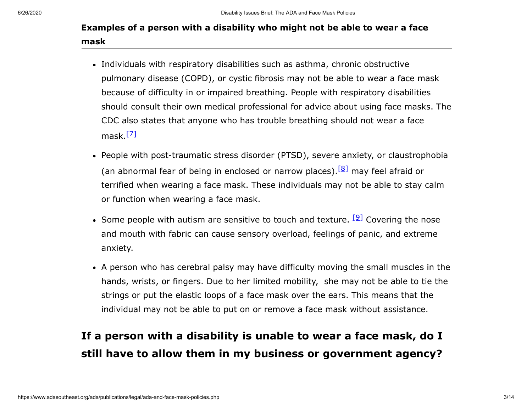#### **Examples of a person with a disability who might not be able to wear a face mask**

- Individuals with respiratory disabilities such as asthma, chronic obstructive pulmonary disease (COPD), or cystic fibrosis may not be able to wear a face mask because of difficulty in or impaired breathing. People with respiratory disabilities should consult their own medical professional for advice about using face masks. The CDC also states that anyone who has trouble breathing should not wear a face mask.<sup>[Z]</sup>
- <span id="page-2-1"></span><span id="page-2-0"></span>• People with post-traumatic stress disorder (PTSD), severe anxiety, or claustrophobia (an abnormal fear of being in enclosed or narrow places).  $[8]$  may feel afraid or terrified when wearing a face mask. These individuals may not be able to stay calm or function when wearing a face mask.
- <span id="page-2-2"></span>Some people with autism are sensitive to touch and texture. <sup>[\[9\]](#page-9-7)</sup> Covering the nose and mouth with fabric can cause sensory overload, feelings of panic, and extreme anxiety.
- A person who has cerebral palsy may have difficulty moving the small muscles in the hands, wrists, or fingers. Due to her limited mobility, she may not be able to tie the strings or put the elastic loops of a face mask over the ears. This means that the individual may not be able to put on or remove a face mask without assistance.

# **If a person with a disability is unable to wear a face mask, do I still have to allow them in my business or government agency?**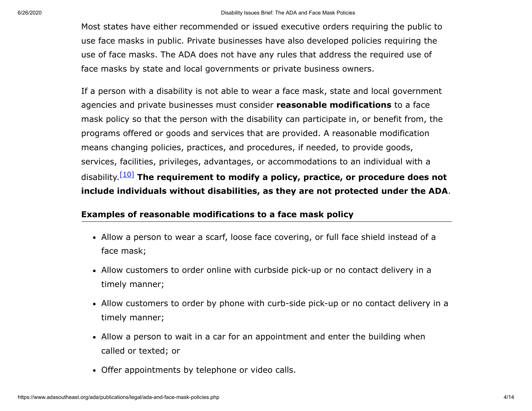Most states have either recommended or issued executive orders requiring the public to use face masks in public. Private businesses have also developed policies requiring the use of face masks. The ADA does not have any rules that address the required use of face masks by state and local governments or private business owners.

<span id="page-3-0"></span>If a person with a disability is not able to wear a face mask, state and local government agencies and private businesses must consider **reasonable modifications** to a face mask policy so that the person with the disability can participate in, or benefit from, the programs offered or goods and services that are provided. A reasonable modification means changing policies, practices, and procedures, if needed, to provide goods, services, facilities, privileges, advantages, or accommodations to an individual with a disability. [\[10\]](#page-10-0) **The requirement to modify a policy, practice, or procedure does not include individuals without disabilities, as they are not protected under the ADA**.

#### <span id="page-3-1"></span>**Examples of reasonable modifications to a face mask policy**

- Allow a person to wear a scarf, loose face covering, or full face shield instead of a face mask;
- Allow customers to order online with curbside pick-up or no contact delivery in a timely manner;
- Allow customers to order by phone with curb-side pick-up or no contact delivery in a timely manner;
- Allow a person to wait in a car for an appointment and enter the building when called or texted; or
- Offer appointments by telephone or video calls.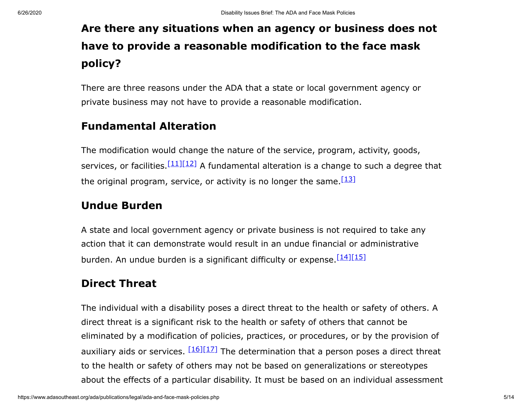# **Are there any situations when an agency or business does not have to provide a reasonable modification to the face mask policy?**

There are three reasons under the ADA that a state or local government agency or private business may not have to provide a reasonable modification.

#### **Fundamental Alteration**

<span id="page-4-1"></span><span id="page-4-0"></span>The modification would change the nature of the service, program, activity, goods, services, or facilities  $\frac{[11][12]}{]}$  $\frac{[11][12]}{]}$  $\frac{[11][12]}{]}$  $\frac{[11][12]}{]}$  A fundamental alteration is a change to such a degree that the original program, service, or activity is no longer the same.  $[13]$ 

### <span id="page-4-2"></span>**Undue Burden**

A state and local government agency or private business is not required to take any action that it can demonstrate would result in an undue financial or administrative burden. An undue burden is a significant difficulty or expense.<sup>[\[14\]](#page-10-4)[\[15\]](#page-10-5)</sup>

### <span id="page-4-4"></span><span id="page-4-3"></span>**Direct Threat**

<span id="page-4-6"></span><span id="page-4-5"></span>The individual with a disability poses a direct threat to the health or safety of others. A direct threat is a significant risk to the health or safety of others that cannot be eliminated by a modification of policies, practices, or procedures, or by the provision of auxiliary aids or services. <sup>[\[16\]](#page-11-0)[\[17\]](#page-11-1)</sup> The determination that a person poses a direct threat to the health or safety of others may not be based on generalizations or stereotypes about the effects of a particular disability. It must be based on an individual assessment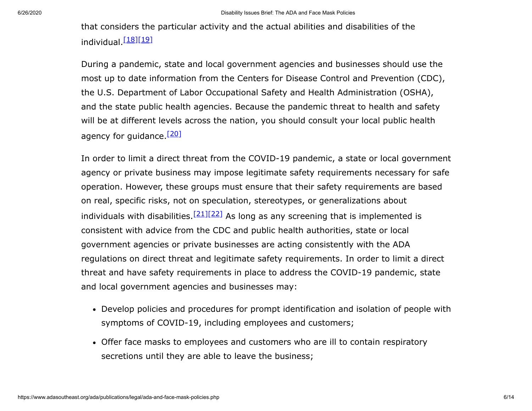<span id="page-5-1"></span><span id="page-5-0"></span>that considers the particular activity and the actual abilities and disabilities of the individual.<sup>[<u>18][\[19\]](#page-11-3)</u></sup>

During a pandemic, state and local government agencies and businesses should use the most up to date information from the Centers for Disease Control and Prevention (CDC), the U.S. Department of Labor Occupational Safety and Health Administration (OSHA), and the state public health agencies. Because the pandemic threat to health and safety will be at different levels across the nation, you should consult your local public health agency for guidance.<sup>[\[20\]](#page-11-4)</sup>

<span id="page-5-4"></span><span id="page-5-3"></span><span id="page-5-2"></span>In order to limit a direct threat from the COVID-19 pandemic, a state or local government agency or private business may impose legitimate safety requirements necessary for safe operation. However, these groups must ensure that their safety requirements are based on real, specific risks, not on speculation, stereotypes, or generalizations about individuals with disabilities.  $[21][22]$  $[21][22]$  As long as any screening that is implemented is consistent with advice from the CDC and public health authorities, state or local government agencies or private businesses are acting consistently with the ADA regulations on direct threat and legitimate safety requirements. In order to limit a direct threat and have safety requirements in place to address the COVID-19 pandemic, state and local government agencies and businesses may:

- Develop policies and procedures for prompt identification and isolation of people with symptoms of COVID-19, including employees and customers;
- Offer face masks to employees and customers who are ill to contain respiratory secretions until they are able to leave the business;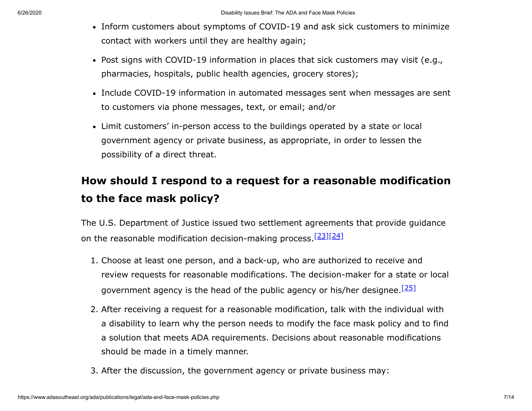- Inform customers about symptoms of COVID-19 and ask sick customers to minimize contact with workers until they are healthy again;
- Post signs with COVID-19 information in places that sick customers may visit (e.g., pharmacies, hospitals, public health agencies, grocery stores);
- Include COVID-19 information in automated messages sent when messages are sent to customers via phone messages, text, or email; and/or
- Limit customers' in-person access to the buildings operated by a state or local government agency or private business, as appropriate, in order to lessen the possibility of a direct threat.

# **How should I respond to a request for a reasonable modification to the face mask policy?**

The U.S. Department of Justice issued two settlement agreements that provide guidance on the reasonable modification decision-making process. [\[23\]](#page-12-1)[\[24\]](#page-12-2)

- <span id="page-6-1"></span><span id="page-6-0"></span>1. Choose at least one person, and a back-up, who are authorized to receive and review requests for reasonable modifications. The decision-maker for a state or local government agency is the head of the public agency or his/her designee.<sup>[\[25\]](#page-12-3)</sup>
- <span id="page-6-2"></span>2. After receiving a request for a reasonable modification, talk with the individual with a disability to learn why the person needs to modify the face mask policy and to find a solution that meets ADA requirements. Decisions about reasonable modifications should be made in a timely manner.
- 3. After the discussion, the government agency or private business may: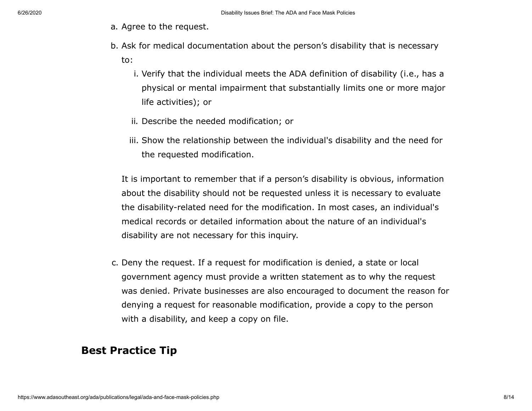- a. Agree to the request.
- b. Ask for medical documentation about the person's disability that is necessary to:
	- i. Verify that the individual meets the ADA definition of disability (i.e., has a physical or mental impairment that substantially limits one or more major life activities); or
	- ii. Describe the needed modification; or
	- iii. Show the relationship between the individual's disability and the need for the requested modification.

It is important to remember that if a person's disability is obvious, information about the disability should not be requested unless it is necessary to evaluate the disability-related need for the modification. In most cases, an individual's medical records or detailed information about the nature of an individual's disability are not necessary for this inquiry.

c. Deny the request. If a request for modification is denied, a state or local government agency must provide a written statement as to why the request was denied. Private businesses are also encouraged to document the reason for denying a request for reasonable modification, provide a copy to the person with a disability, and keep a copy on file.

## **Best Practice Tip**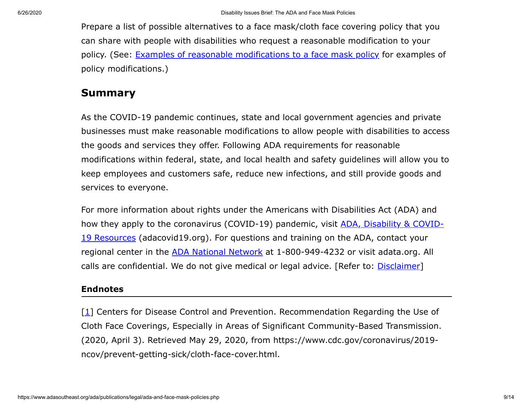Prepare a list of possible alternatives to a face mask/cloth face covering policy that you can share with people with disabilities who request a reasonable modification to your policy. (See: Examples of reasonable [modifications](#page-3-0) to a face mask policy for examples of policy modifications.)

#### **Summary**

As the COVID-19 pandemic continues, state and local government agencies and private businesses must make reasonable modifications to allow people with disabilities to access the goods and services they offer. Following ADA requirements for reasonable modifications within federal, state, and local health and safety guidelines will allow you to keep employees and customers safe, reduce new infections, and still provide goods and services to everyone.

For more information about rights under the Americans with Disabilities Act (ADA) and how they apply to the coronavirus (COVID-19) pandemic, visit ADA, Disability & COVID-19 Resources [\(adacovid19.org\).](https://www.adacovid19.org/) For questions and training on the ADA, contact your regional center in the [ADA National](https://adata.org/) Network at 1-800-949-4232 or visit adata.org. All calls are confidential. We do not give medical or legal advice. [Refer to: *[Disclaimer](#page-12-4)*]

#### **Endnotes**

<span id="page-8-0"></span>[\[1](#page-0-0)] Centers for Disease Control and Prevention. Recommendation Regarding the Use of Cloth Face Coverings, Especially in Areas of Significant Community-Based Transmission. (2020, April 3). Retrieved May 29, 2020, from https://www.cdc.gov/coronavirus/2019 ncov/prevent-getting-sick/cloth-face-cover.html.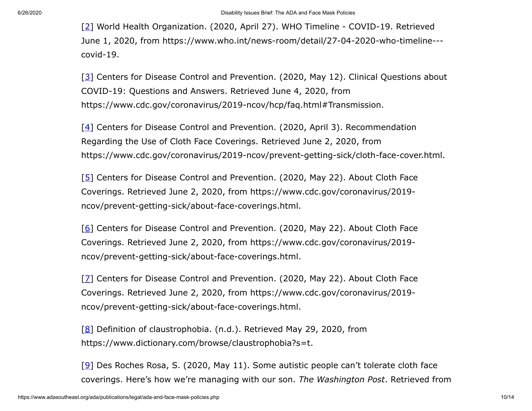<span id="page-9-0"></span>[\[2](#page-1-0)] World Health Organization. (2020, April 27). WHO Timeline - COVID-19. Retrieved June 1, 2020, from https://www.who.int/news-room/detail/27-04-2020-who-timeline-- covid-19.

<span id="page-9-1"></span>[\[3](#page-1-1)] Centers for Disease Control and Prevention. (2020, May 12). Clinical Questions about COVID-19: Questions and Answers. Retrieved June 4, 2020, from https://www.cdc.gov/coronavirus/2019-ncov/hcp/faq.html#Transmission.

<span id="page-9-2"></span>[\[4](#page-1-2)] Centers for Disease Control and Prevention. (2020, April 3). Recommendation Regarding the Use of Cloth Face Coverings. Retrieved June 2, 2020, from https://www.cdc.gov/coronavirus/2019-ncov/prevent-getting-sick/cloth-face-cover.html.

<span id="page-9-3"></span>[\[5](#page-1-3)] Centers for Disease Control and Prevention. (2020, May 22). About Cloth Face Coverings. Retrieved June 2, 2020, from https://www.cdc.gov/coronavirus/2019 ncov/prevent-getting-sick/about-face-coverings.html.

<span id="page-9-4"></span>[\[6](#page-1-4)] Centers for Disease Control and Prevention. (2020, May 22). About Cloth Face Coverings. Retrieved June 2, 2020, from https://www.cdc.gov/coronavirus/2019 ncov/prevent-getting-sick/about-face-coverings.html.

<span id="page-9-5"></span>[\[7](#page-2-0)] Centers for Disease Control and Prevention. (2020, May 22). About Cloth Face Coverings. Retrieved June 2, 2020, from https://www.cdc.gov/coronavirus/2019 ncov/prevent-getting-sick/about-face-coverings.html.

<span id="page-9-6"></span>[\[8](#page-2-1)] Definition of claustrophobia. (n.d.). Retrieved May 29, 2020, from https://www.dictionary.com/browse/claustrophobia?s=t.

<span id="page-9-7"></span>[\[9](#page-2-2)] Des Roches Rosa, S. (2020, May 11). Some autistic people can't tolerate cloth face coverings. Here's how we're managing with our son. *The Washington Post*. Retrieved from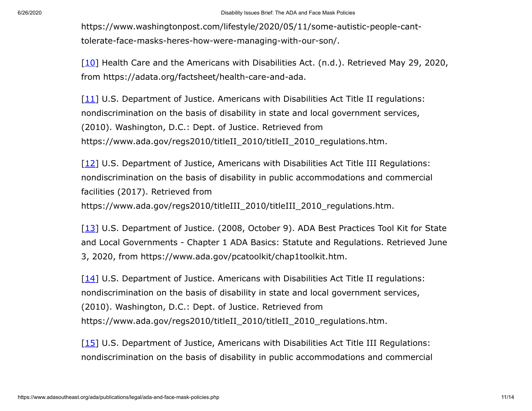https://www.washingtonpost.com/lifestyle/2020/05/11/some-autistic-people-canttolerate-face-masks-heres-how-were-managing-with-our-son/.

<span id="page-10-0"></span>[\[10](#page-3-1)] Health Care and the Americans with Disabilities Act. (n.d.). Retrieved May 29, 2020, from https://adata.org/factsheet/health-care-and-ada.

<span id="page-10-1"></span> $[11]$  $[11]$  U.S. Department of Justice. Americans with Disabilities Act Title II regulations: nondiscrimination on the basis of disability in state and local government services, (2010). Washington, D.C.: Dept. of Justice. Retrieved from https://www.ada.gov/regs2010/titleII\_2010/titleII\_2010\_regulations.htm.

<span id="page-10-2"></span> $[12]$  $[12]$  U.S. Department of Justice, Americans with Disabilities Act Title III Regulations: nondiscrimination on the basis of disability in public accommodations and commercial facilities (2017). Retrieved from https://www.ada.gov/regs2010/titleIII\_2010/titleIII\_2010\_regulations.htm.

<span id="page-10-3"></span>[\[13](#page-4-2)] U.S. Department of Justice. (2008, October 9). ADA Best Practices Tool Kit for State and Local Governments - Chapter 1 ADA Basics: Statute and Regulations. Retrieved June 3, 2020, from https://www.ada.gov/pcatoolkit/chap1toolkit.htm.

<span id="page-10-4"></span> $[14]$  $[14]$  U.S. Department of Justice. Americans with Disabilities Act Title II regulations: nondiscrimination on the basis of disability in state and local government services, (2010). Washington, D.C.: Dept. of Justice. Retrieved from https://www.ada.gov/regs2010/titleII\_2010/titleII\_2010\_regulations.htm.

<span id="page-10-5"></span>[\[15](#page-4-4)] U.S. Department of Justice, Americans with Disabilities Act Title III Regulations: nondiscrimination on the basis of disability in public accommodations and commercial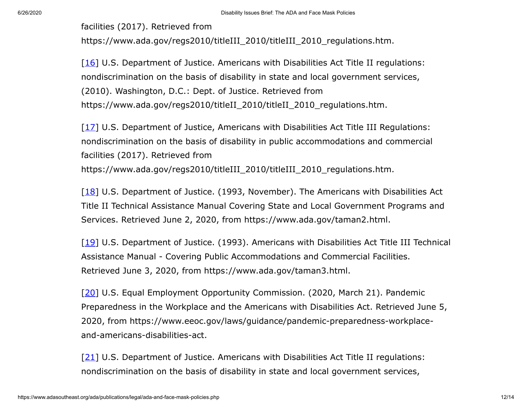facilities (2017). Retrieved from

https://www.ada.gov/regs2010/titleIII\_2010/titleIII\_2010\_regulations.htm.

<span id="page-11-0"></span> $[16]$  $[16]$  U.S. Department of Justice. Americans with Disabilities Act Title II regulations: nondiscrimination on the basis of disability in state and local government services, (2010). Washington, D.C.: Dept. of Justice. Retrieved from https://www.ada.gov/regs2010/titleII\_2010/titleII\_2010\_regulations.htm.

<span id="page-11-1"></span>[\[17](#page-4-6)] U.S. Department of Justice, Americans with Disabilities Act Title III Regulations: nondiscrimination on the basis of disability in public accommodations and commercial facilities (2017). Retrieved from https://www.ada.gov/regs2010/titleIII\_2010/titleIII\_2010\_regulations.htm.

<span id="page-11-2"></span> $[18]$  $[18]$  U.S. Department of Justice. (1993, November). The Americans with Disabilities Act Title II Technical Assistance Manual Covering State and Local Government Programs and Services. Retrieved June 2, 2020, from https://www.ada.gov/taman2.html.

<span id="page-11-3"></span>[\[19](#page-5-1)] U.S. Department of Justice. (1993). Americans with Disabilities Act Title III Technical Assistance Manual - Covering Public Accommodations and Commercial Facilities. Retrieved June 3, 2020, from https://www.ada.gov/taman3.html.

<span id="page-11-4"></span>[\[20](#page-5-2)] U.S. Equal Employment Opportunity Commission. (2020, March 21). Pandemic Preparedness in the Workplace and the Americans with Disabilities Act. Retrieved June 5, 2020, from https://www.eeoc.gov/laws/guidance/pandemic-preparedness-workplaceand-americans-disabilities-act.

<span id="page-11-5"></span> $[21]$  $[21]$  U.S. Department of Justice. Americans with Disabilities Act Title II regulations: nondiscrimination on the basis of disability in state and local government services,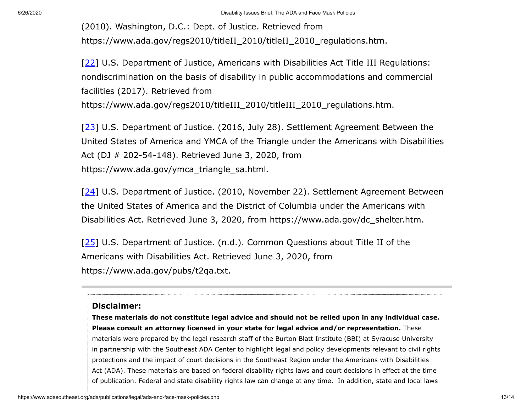(2010). Washington, D.C.: Dept. of Justice. Retrieved from https://www.ada.gov/regs2010/titleII\_2010/titleII\_2010\_regulations.htm.

<span id="page-12-0"></span>[\[22](#page-5-4)] U.S. Department of Justice, Americans with Disabilities Act Title III Regulations: nondiscrimination on the basis of disability in public accommodations and commercial facilities (2017). Retrieved from https://www.ada.gov/regs2010/titleIII\_2010/titleIII\_2010\_regulations.htm.

<span id="page-12-1"></span>[\[23](#page-6-0)] U.S. Department of Justice. (2016, July 28). Settlement Agreement Between the United States of America and YMCA of the Triangle under the Americans with Disabilities Act (DJ # 202-54-148). Retrieved June 3, 2020, from https://www.ada.gov/ymca\_triangle\_sa.html.

<span id="page-12-2"></span>[\[24](#page-6-1)] U.S. Department of Justice. (2010, November 22). Settlement Agreement Between the United States of America and the District of Columbia under the Americans with Disabilities Act. Retrieved June 3, 2020, from https://www.ada.gov/dc\_shelter.htm.

<span id="page-12-3"></span> $[25]$  $[25]$  U.S. Department of Justice. (n.d.). Common Questions about Title II of the Americans with Disabilities Act. Retrieved June 3, 2020, from https://www.ada.gov/pubs/t2qa.txt.

#### <span id="page-12-4"></span>**Disclaimer:**

**These materials do not constitute legal advice and should not be relied upon in any individual case. Please consult an attorney licensed in your state for legal advice and/or representation.** These materials were prepared by the legal research staff of the Burton Blatt Institute (BBI) at Syracuse University in partnership with the Southeast ADA Center to highlight legal and policy developments relevant to civil rights protections and the impact of court decisions in the Southeast Region under the Americans with Disabilities Act (ADA). These materials are based on federal disability rights laws and court decisions in effect at the time of publication. Federal and state disability rights law can change at any time. In addition, state and local laws